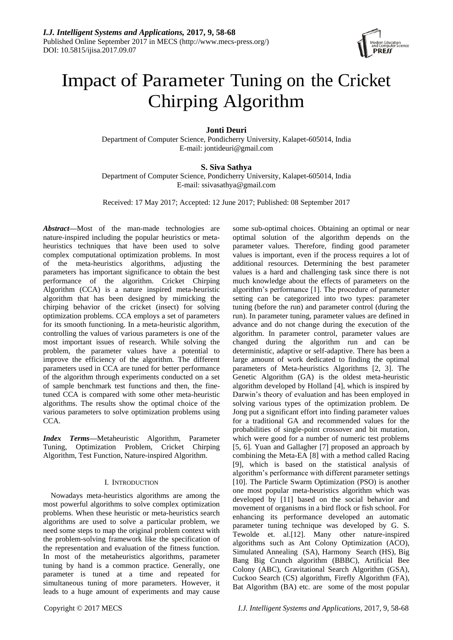

# Impact of Parameter Tuning on the Cricket Chirping Algorithm

# **Jonti Deuri**

Department of Computer Science, Pondicherry University, Kalapet-605014, India E-mail: jontideuri@gmail.com

# **S. Siva Sathya**

Department of Computer Science, Pondicherry University, Kalapet-605014, India E-mail: ssivasathya@gmail.com

Received: 17 May 2017; Accepted: 12 June 2017; Published: 08 September 2017

*Abstract***—**Most of the man-made technologies are nature-inspired including the popular heuristics or metaheuristics techniques that have been used to solve complex computational optimization problems. In most of the meta-heuristics algorithms, adjusting the parameters has important significance to obtain the best performance of the algorithm. Cricket Chirping Algorithm (CCA) is a nature inspired meta-heuristic algorithm that has been designed by mimicking the chirping behavior of the cricket (insect) for solving optimization problems. CCA employs a set of parameters for its smooth functioning. In a meta-heuristic algorithm, controlling the values of various parameters is one of the most important issues of research. While solving the problem, the parameter values have a potential to improve the efficiency of the algorithm. The different parameters used in CCA are tuned for better performance of the algorithm through experiments conducted on a set of sample benchmark test functions and then, the finetuned CCA is compared with some other meta-heuristic algorithms. The results show the optimal choice of the various parameters to solve optimization problems using CCA.

*Index Terms***—**Metaheuristic Algorithm, Parameter Tuning, Optimization Problem, Cricket Chirping Algorithm, Test Function, Nature-inspired Algorithm.

# I. INTRODUCTION

Nowadays meta-heuristics algorithms are among the most powerful algorithms to solve complex optimization problems. When these heuristic or meta-heuristics search algorithms are used to solve a particular problem, we need some steps to map the original problem context with the problem-solving framework like the specification of the representation and evaluation of the fitness function. In most of the metaheuristics algorithms, parameter tuning by hand is a common practice. Generally, one parameter is tuned at a time and repeated for simultaneous tuning of more parameters. However, it leads to a huge amount of experiments and may cause optimal solution of the algorithm depends on the parameter values. Therefore, finding good parameter values is important, even if the process requires a lot of additional resources. Determining the best parameter values is a hard and challenging task since there is not much knowledge about the effects of parameters on the algorithm's performance [1]. The procedure of parameter setting can be categorized into two types: parameter tuning (before the run) and parameter control (during the run). In parameter tuning, parameter values are defined in advance and do not change during the execution of the algorithm. In parameter control, parameter values are changed during the algorithm run and can be deterministic, adaptive or self-adaptive. There has been a large amount of work dedicated to finding the optimal parameters of Meta-heuristics Algorithms [2, 3]. The Genetic Algorithm (GA) is the oldest meta-heuristic algorithm developed by Holland [4], which is inspired by Darwin's theory of evaluation and has been employed in solving various types of the optimization problem. De Jong put a significant effort into finding parameter values for a traditional GA and recommended values for the probabilities of single-point crossover and bit mutation, which were good for a number of numeric test problems [5, 6]. Yuan and Gallagher [7] proposed an approach by combining the Meta-EA [8] with a method called Racing [9], which is based on the statistical analysis of algorithm's performance with different parameter settings [10]. The Particle Swarm Optimization (PSO) is another one most popular meta-heuristics algorithm which was developed by [11] based on the social behavior and movement of organisms in a bird flock or fish school. For enhancing its performance developed an automatic parameter tuning technique was developed by G. S. Tewolde et. al.[12]. Many other nature-inspired algorithms such as Ant Colony Optimization (ACO), Simulated Annealing (SA), Harmony Search (HS), Big Bang Big Crunch algorithm (BBBC), Artificial Bee Colony (ABC), Gravitational Search Algorithm (GSA), Cuckoo Search (CS) algorithm, Firefly Algorithm (FA), Bat Algorithm (BA) etc. are some of the most popular

some sub-optimal choices. Obtaining an optimal or near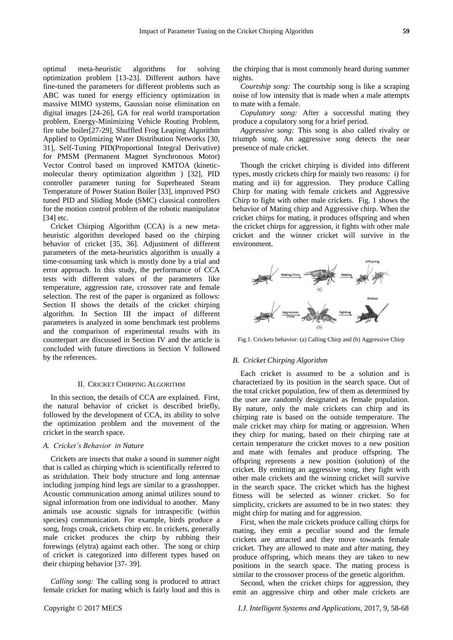optimal meta-heuristic algorithms for solving optimization problem [13-23]. Different authors have fine-tuned the parameters for different problems such as ABC was tuned for energy efficiency optimization in massive MIMO systems, Gaussian noise elimination on digital images [24-26], GA for real world transportation problem, Energy-Minimizing Vehicle Routing Problem, fire tube boiler[27-29], Shuffled Frog Leaping Algorithm Applied to Optimizing Water Distribution Networks [30, 31], Self-Tuning PID(Proportional Integral Derivative) for PMSM (Permanent Magnet Synchronous Motor) Vector Control based on improved KMTOA (kineticmolecular theory optimization algorithm ) [32], PID controller parameter tuning for Superheated Steam Temperature of Power Station Boiler [33], improved PSO tuned PID and Sliding Mode (SMC) classical controllers for the motion control problem of the robotic manipulator [34] etc.

Cricket Chirping Algorithm (CCA) is a new metaheuristic algorithm developed based on the chirping behavior of cricket [35, 36]. Adjustment of different parameters of the meta-heuristics algorithm is usually a time-consuming task which is mostly done by a trial and error approach. In this study, the performance of CCA tests with different values of the parameters like temperature, aggression rate, crossover rate and female selection. The rest of the paper is organized as follows: Section II shows the details of the cricket chirping algorithm. In Section III the impact of different parameters is analyzed in some benchmark test problems and the comparison of experimental results with its counterpart are discussed in Section IV and the article is concluded with future directions in Section V followed by the references.

#### II. CRICKET CHIRPING ALGORITHM

In this section, the details of CCA are explained. First, the natural behavior of cricket is described briefly, followed by the development of CCA, its ability to solve the optimization problem and the movement of the cricket in the search space.

## *A. Cricket's Behavior in Nature*

Crickets are insects that make a sound in summer night that is called as chirping which is scientifically referred to as stridulation. Their body structure and long antennae including jumping hind legs are similar to a grasshopper. Acoustic communication among animal utilizes sound to signal information from one individual to another. Many animals use acoustic signals for intraspecific (within species) communication. For example, birds produce a song, frogs croak, crickets chirp etc. In crickets, generally male cricket produces the chirp by rubbing their forewings (elytra) against each other. The song or chirp of cricket is categorized into different types based on their chirping behavior [37- 39].

*Calling song:* The calling song is produced to attract female cricket for mating which is fairly loud and this is

the chirping that is most commonly heard during summer nights.

*Courtship song:* The courtship song is like a scraping noise of low intensity that is made when a male attempts to mate with a female.

*Copulatory song:* After a successful mating they produce a copulatory song for a brief period.

*Aggressive song:* This song is also called rivalry or triumph song. An aggressive song detects the near presence of male cricket.

Though the cricket chirping is divided into different types, mostly crickets chirp for mainly two reasons: i) for mating and ii) for aggression. They produce Calling Chirp for mating with female crickets and Aggressive Chirp to fight with other male crickets. Fig. 1 shows the behavior of Mating chirp and Aggressive chirp. When the cricket chirps for mating, it produces offspring and when the cricket chirps for aggression, it fights with other male cricket and the winner cricket will survive in the environment.



Fig.1. Crickets behavior: (a) Calling Chirp and (b) Aggressive Chirp

#### *B. Cricket Chirping Algorithm*

Each cricket is assumed to be a solution and is characterized by its position in the search space. Out of the total cricket population, few of them as determined by the user are randomly designated as female population. By nature, only the male crickets can chirp and its chirping rate is based on the outside temperature. The male cricket may chirp for mating or aggression. When they chirp for mating, based on their chirping rate at certain temperature the cricket moves to a new position and mate with females and produce offspring. The offspring represents a new position (solution) of the cricket. By emitting an aggressive song, they fight with other male crickets and the winning cricket will survive in the search space. The cricket which has the highest fitness will be selected as winner cricket. So for simplicity, crickets are assumed to be in two states: they might chirp for mating and for aggression.

First, when the male crickets produce calling chirps for mating, they emit a peculiar sound and the female crickets are attracted and they move towards female cricket. They are allowed to mate and after mating, they produce offspring, which means they are taken to new positions in the search space. The mating process is similar to the crossover process of the genetic algorithm.

Second, when the cricket chirps for aggression, they emit an aggressive chirp and other male crickets are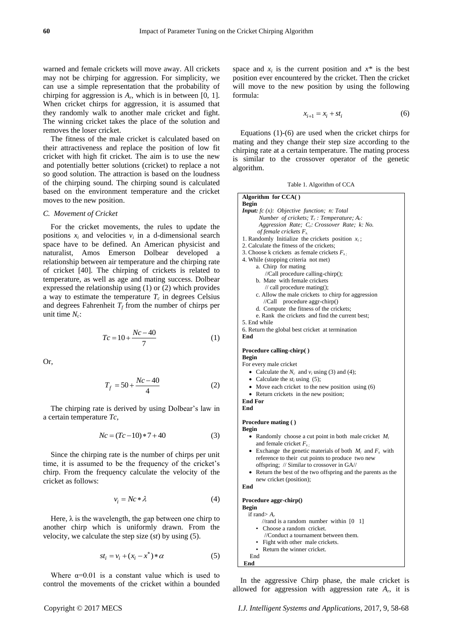warned and female crickets will move away. All crickets may not be chirping for aggression. For simplicity, we can use a simple representation that the probability of chirping for aggression is  $A_r$ , which is in between [0, 1]. When cricket chirps for aggression, it is assumed that they randomly walk to another male cricket and fight. The winning cricket takes the place of the solution and removes the loser cricket.

The fitness of the male cricket is calculated based on their attractiveness and replace the position of low fit cricket with high fit cricket. The aim is to use the new and potentially better solutions (cricket) to replace a not so good solution. The attraction is based on the loudness of the chirping sound. The chirping sound is calculated based on the environment temperature and the cricket moves to the new position.

#### *C. Movement of Cricket*

For the cricket movements, the rules to update the positions  $x_i$  and velocities  $v_i$  in a d-dimensional search space have to be defined. An American physicist and naturalist, Amos Emerson Dolbear developed a relationship between air temperature and the chirping rate of cricket [40]. The chirping of crickets is related to temperature, as well as age and mating success. Dolbear expressed the relationship using (1) or (2) which provides a way to estimate the temperature  $T_c$  in degrees Celsius and degrees Fahrenheit  $T_f$  from the number of chirps per unit time *N<sup>c</sup>* :

$$
Tc = 10 + \frac{Nc - 40}{7}
$$
 (1)

Or,

$$
T_f = 50 + \frac{Nc - 40}{4} \tag{2}
$$

The chirping rate is derived by using Dolbear's law in a certain temperature *Tc,*

$$
Nc = (Tc - 10) * 7 + 40 \tag{3}
$$

Since the chirping rate is the number of chirps per unit time, it is assumed to be the frequency of the cricket's chirp. From the frequency calculate the velocity of the cricket as follows:

$$
v_i = Nc * \lambda \tag{4}
$$

Here,  $\lambda$  is the wavelength, the gap between one chirp to another chirp which is uniformly drawn. From the velocity, we calculate the step size (*st*) by using (5).

$$
st_i = v_i + (x_i - x^*) * \alpha \tag{5}
$$

Where  $\alpha=0.01$  is a constant value which is used to control the movements of the cricket within a bounded

space and  $x_i$  is the current position and  $x^*$  is the best position ever encountered by the cricket. Then the cricket will move to the new position by using the following formula:

$$
x_{i+1} = x_i + st_i \tag{6}
$$

Equations (1)-(6) are used when the cricket chirps for mating and they change their step size according to the chirping rate at a certain temperature. The mating process is similar to the crossover operator of the genetic algorithm.

Table 1. Algorithm of CCA

| Algorithm for $CCA()$                                         |
|---------------------------------------------------------------|
| <b>Begin</b>                                                  |
| <b>Input:</b> fc $(x)$ : Objective function; n: Total         |
| Number of crickets; $T_c$ : Temperature; $A_r$ :              |
| Aggression Rate; C <sub>r</sub> : Crossover Rate; k: No.      |
| of female crickets $F_s$                                      |
| 1. Randomly Initialize the crickets position $x_i$ ;          |
| 2. Calculate the fitness of the crickets;                     |
| 3. Choose k crickets as female crickets $F_{s}$ .             |
| 4. While (stopping criteria not met)                          |
| a. Chirp for mating                                           |
| //Call procedure calling-chirp();                             |
| b. Mate with female crickets                                  |
| $\frac{1}{2}$ call procedure mating();                        |
| c. Allow the male crickets to chirp for aggression            |
| procedure aggr-chirp()<br>//Call                              |
| d. Compute the fitness of the crickets;                       |
| e. Rank the crickets and find the current best;               |
| 5. End while                                                  |
| 6. Return the global best cricket at termination              |
| End                                                           |
|                                                               |
| Procedure calling-chirp()                                     |
| <b>Begin</b><br>For every male cricket                        |
|                                                               |
| • Calculate the $N_c$ and $v_i$ using (3) and (4);            |
| • Calculate the $st_i$ using (5);                             |
| • Move each cricket to the new position using (6)             |
| • Return crickets in the new position;                        |
| <b>End For</b>                                                |
| End                                                           |
| Procedure mating ()                                           |
| <b>Begin</b>                                                  |
| • Randomly choose a cut point in both male cricket $M_i$      |
| and female cricket $F_s$ .                                    |
| • Exchange the genetic materials of both $M_i$ and $F_s$ with |
| reference to their cut points to produce two new              |
| offspring; // Similar to crossover in GA//                    |
| Return the best of the two offspring and the parents as the   |
| new cricket (position);                                       |
| End                                                           |
|                                                               |
| Procedure aggr-chirp()                                        |
| <b>Begin</b>                                                  |
| if rand $>A_r$                                                |
| //rand is a random number within $[0]$<br>-11                 |
| • Choose a random cricket.                                    |
| //Conduct a tournament between them.                          |
| Fight with other male crickets.                               |
| Return the winner cricket.                                    |
| End                                                           |
| End                                                           |
|                                                               |

In the aggressive Chirp phase, the male cricket is allowed for aggression with aggression rate  $A_r$ , it is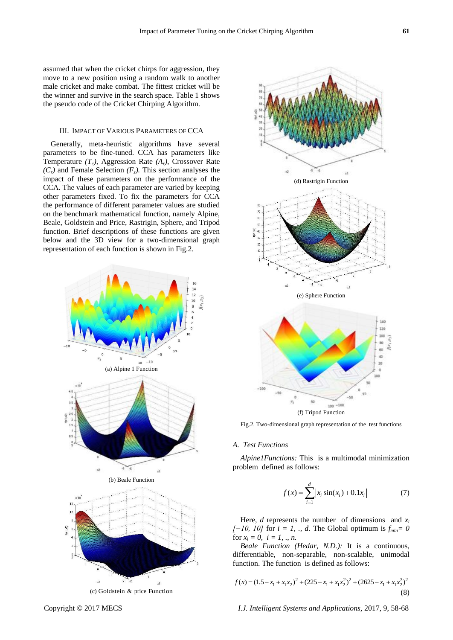assumed that when the cricket chirps for aggression, they move to a new position using a random walk to another male cricket and make combat. The fittest cricket will be the winner and survive in the search space. Table 1 shows the pseudo code of the Cricket Chirping Algorithm.

## III. IMPACT OF VARIOUS PARAMETERS OF CCA

Generally, meta-heuristic algorithms have several parameters to be fine-tuned. CCA has parameters like Temperature *(Tc)*, Aggression Rate *(Ar)*, Crossover Rate  $(C_r)$  and Female Selection  $(F_s)$ . This section analyses the impact of these parameters on the performance of the CCA. The values of each parameter are varied by keeping other parameters fixed. To fix the parameters for CCA the performance of different parameter values are studied on the benchmark mathematical function, namely Alpine, Beale, Goldstein and Price, Rastrigin, Sphere, and Tripod function. Brief descriptions of these functions are given below and the 3D view for a two-dimensional graph representation of each function is shown in Fig.2.





Fig.2. Two-dimensional graph representation of the test functions

# *A. Test Functions*

*Alpine1Functions:* This is a multimodal minimization problem defined as follows:

$$
f(x) = \sum_{i=1}^{d} |x_i \sin(x_i) + 0.1x_i|
$$
 (7)

Here, *d* represents the number of dimensions and  $x_i$ *[−10, 10]* for *i* = *1, ., d.* The Global optimum is  $f_{min} = 0$ for  $x_i = 0$ ,  $i = 1, ..., n$ .

*Beale Function (Hedar, N.D.):* It is a continuous, differentiable, non-separable, non-scalable, unimodal function. The function is defined as follows:

function. The function is defined as follows:  

$$
f(x) = (1.5 - x_1 + x_1x_2)^2 + (225 - x_1 + x_1x_2^2)^2 + (2625 - x_1 + x_1x_2^3)^2
$$
(8)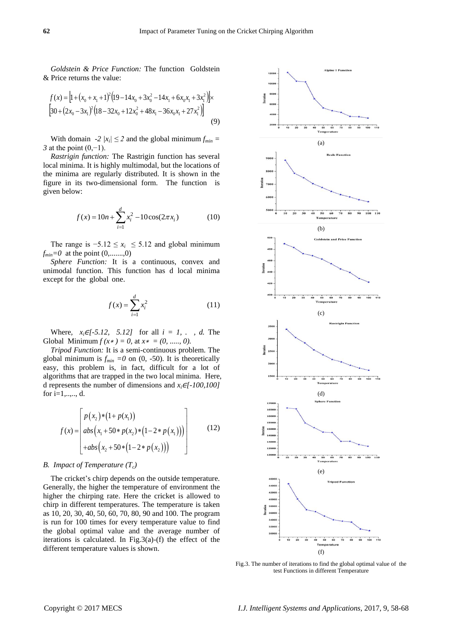*Goldstein & Price Function:* The function Goldstein & Price returns the value:

$$
f(x) = [1 + (x_0 + x_1 + 1)^2 (19 - 14x_0 + 3x_0^2 - 14x_1 + 6x_0x_1 + 3x_1^2)] \times
$$
  
\n
$$
[30 + (2x_0 - 3x_1)^2 (18 - 32x_0 + 12x_0^2 + 48x_1 - 36x_0x_1 + 27x_1^2)]
$$
  
\n(9)

With domain *-2*  $|x_i| \leq 2$  and the global minimum  $f_{min} =$ *3* at the point (0,−1).

*Rastrigin function:* The Rastrigin function has several local minima. It is highly multimodal, but the locations of the minima are regularly distributed. It is shown in the figure in its two-dimensional form. The function is given below:

$$
f(x) = 10n + \sum_{i=1}^{d} x_i^2 - 10\cos(2\pi x_i)
$$
 (10)

The range is  $-5.12 \le x_i \le 5.12$  and global minimum  $f_{min} = 0$  at the point  $(0, \ldots, 0)$ 

*Sphere Function:* It is a continuous, convex and unimodal function. This function has d local minima except for the global one.

$$
f(x) = \sum_{i=1}^{d} x_i^2
$$
 (11)

Where,  $x_i \in [-5.12, 5.12]$  for all  $i = 1, \ldots, d$ . The Global Minimum  $f(x*) = 0$ , at  $x* = (0, \ldots, 0)$ .

*Tripod Function:* It is a semi-continuous problem. The global minimum is  $f_{min} = 0$  on (0, -50). It is theoretically easy, this problem is, in fact, difficult for a lot of algorithms that are trapped in the two local minima. Here, d represents the number of dimensions and  $x_i \in [-100, 100]$ for  $i=1,...,d$ .

$$
f(x) = \begin{bmatrix} p(x_2) * (1 + p(x_1)) \\ abs(x_1 + 50 * p(x_2) * (1 - 2 * p(x_1))) \\ + abs(x_2 + 50 * (1 - 2 * p(x_2))) \end{bmatrix}
$$
 (12)

#### *B. Impact of Temperature (Tc)*

The cricket's chirp depends on the outside temperature. Generally, the higher the temperature of environment the higher the chirping rate. Here the cricket is allowed to chirp in different temperatures. The temperature is taken as 10, 20, 30, 40, 50, 60, 70, 80, 90 and 100. The program is run for 100 times for every temperature value to find the global optimal value and the average number of iterations is calculated. In Fig.3(a)-(f) the effect of the different temperature values is shown.



Fig.3. The number of iterations to find the global optimal value of the test Functions in different Temperature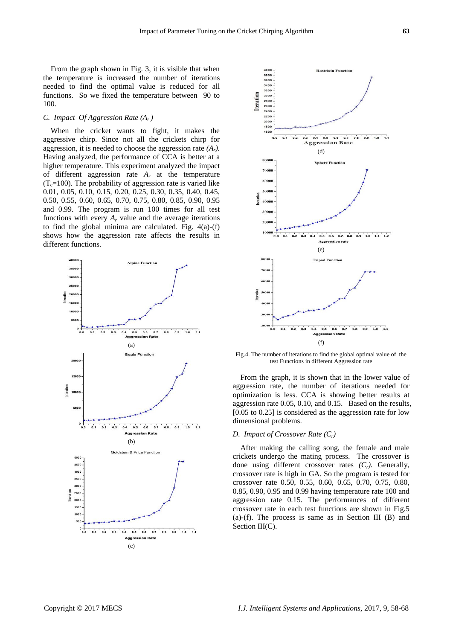From the graph shown in Fig. 3, it is visible that when the temperature is increased the number of iterations needed to find the optimal value is reduced for all functions. So we fixed the temperature between 90 to 100.

# *C. Impact Of Aggression Rate (Ar )*

When the cricket wants to fight, it makes the aggressive chirp. Since not all the crickets chirp for aggression, it is needed to choose the aggression rate *(Ar).* Having analyzed, the performance of CCA is better at a higher temperature. This experiment analyzed the impact of different aggression rate *A<sup>r</sup>* at the temperature  $(T_c=100)$ . The probability of aggression rate is varied like 0.01, 0.05, 0.10, 0.15, 0.20, 0.25, 0.30, 0.35, 0.40, 0.45, 0.50, 0.55, 0.60, 0.65, 0.70, 0.75, 0.80, 0.85, 0.90, 0.95 and 0.99. The program is run 100 times for all test functions with every  $A_r$  value and the average iterations to find the global minima are calculated. Fig. 4(a)-(f) shows how the aggression rate affects the results in different functions.





Fig.4. The number of iterations to find the global optimal value of the test Functions in different Aggression rate

From the graph, it is shown that in the lower value of aggression rate, the number of iterations needed for optimization is less. CCA is showing better results at aggression rate 0.05, 0.10, and 0.15. Based on the results, [0.05 to 0.25] is considered as the aggression rate for low dimensional problems.

#### *D. Impact of Crossover Rate (Cr)*

After making the calling song, the female and male crickets undergo the mating process. The crossover is done using different crossover rates *(Cr).* Generally, crossover rate is high in GA. So the program is tested for crossover rate 0.50, 0.55, 0.60, 0.65, 0.70, 0.75, 0.80, 0.85, 0.90, 0.95 and 0.99 having temperature rate 100 and aggression rate 0.15. The performances of different crossover rate in each test functions are shown in Fig.5 (a)-(f). The process is same as in Section III (B) and Section III(C).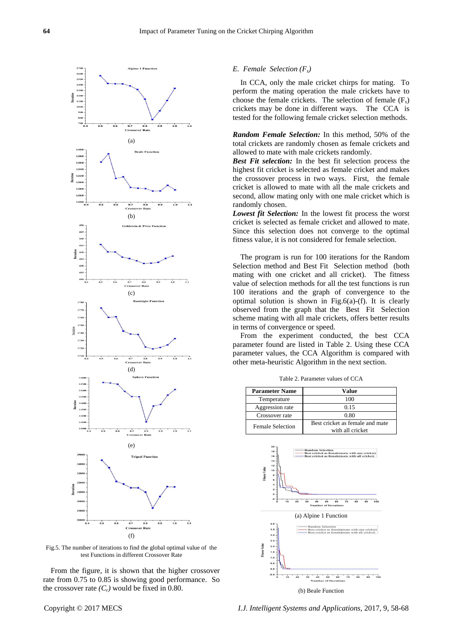

Fig.5. The number of iterations to find the global optimal value of the test Functions in different Crossover Rate

From the figure, it is shown that the higher crossover rate from 0.75 to 0.85 is showing good performance. So the crossover rate  $(C_r)$  would be fixed in 0.80.

#### *E. Female Selection (Fs)*

In CCA, only the male cricket chirps for mating. To perform the mating operation the male crickets have to choose the female crickets. The selection of female  $(F_s)$ crickets may be done in different ways. The CCA is tested for the following female cricket selection methods.

*Random Female Selection:* In this method, 50% of the total crickets are randomly chosen as female crickets and allowed to mate with male crickets randomly.

*Best Fit selection:* In the best fit selection process the highest fit cricket is selected as female cricket and makes the crossover process in two ways. First, the female cricket is allowed to mate with all the male crickets and second, allow mating only with one male cricket which is randomly chosen.

*Lowest fit Selection:* In the lowest fit process the worst cricket is selected as female cricket and allowed to mate. Since this selection does not converge to the optimal fitness value, it is not considered for female selection.

The program is run for 100 iterations for the Random Selection method and Best Fit Selection method (both mating with one cricket and all cricket). The fitness value of selection methods for all the test functions is run 100 iterations and the graph of convergence to the optimal solution is shown in Fig.6(a)-(f). It is clearly observed from the graph that the Best Fit Selection scheme mating with all male crickets, offers better results in terms of convergence or speed.

From the experiment conducted, the best CCA parameter found are listed in Table 2. Using these CCA parameter values, the CCA Algorithm is compared with other meta-heuristic Algorithm in the next section.

Table 2. Parameter values of CCA

| <b>Parameter Name</b>   | Value                                               |  |
|-------------------------|-----------------------------------------------------|--|
| Temperature             | 100                                                 |  |
| Aggression rate         | 0.15                                                |  |
| Crossover rate          | 0.80                                                |  |
| <b>Female Selection</b> | Best cricket as female and mate<br>with all cricket |  |

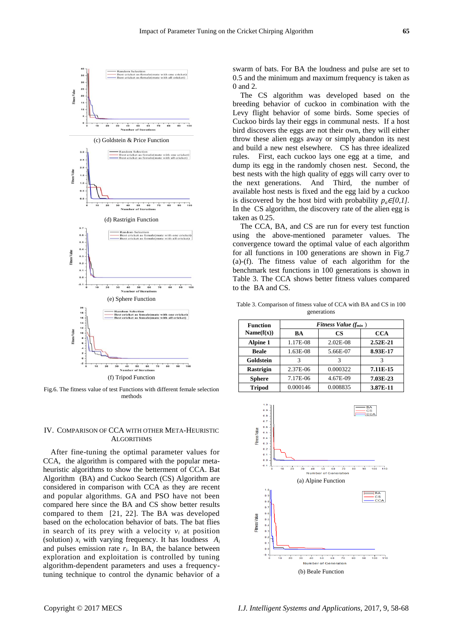

Fig.6. The fitness value of test Functions with different female selection methods

## IV. COMPARISON OF CCA WITH OTHER META-HEURISTIC **ALGORITHMS**

After fine-tuning the optimal parameter values for CCA, the algorithm is compared with the popular metaheuristic algorithms to show the betterment of CCA. Bat Algorithm (BA) and Cuckoo Search (CS) Algorithm are considered in comparison with CCA as they are recent and popular algorithms. GA and PSO have not been compared here since the BA and CS show better results compared to them [21, 22]. The BA was developed based on the echolocation behavior of bats. The bat flies in search of its prey with a velocity  $v_i$  at position (solution)  $x_i$  with varying frequency. It has loudness  $A_i$ and pulses emission rate  $r_i$ . In BA, the balance between exploration and exploitation is controlled by tuning algorithm-dependent parameters and uses a frequencytuning technique to control the dynamic behavior of a

swarm of bats. For BA the loudness and pulse are set to 0.5 and the minimum and maximum frequency is taken as 0 and 2.

The CS algorithm was developed based on the breeding behavior of cuckoo in combination with the Levy flight behavior of some birds. Some species of Cuckoo birds lay their eggs in communal nests. If a host bird discovers the eggs are not their own, they will either throw these alien eggs away or simply abandon its nest and build a new nest elsewhere. CS has three idealized rules. First, each cuckoo lays one egg at a time, and dump its egg in the randomly chosen nest. Second, the best nests with the high quality of eggs will carry over to the next generations. And Third, the number of available host nests is fixed and the egg laid by a cuckoo is discovered by the host bird with probability  $p_a \in [0,1]$ . In the CS algorithm, the discovery rate of the alien egg is taken as 0.25.

The CCA, BA, and CS are run for every test function using the above-mentioned parameter values. The convergence toward the optimal value of each algorithm for all functions in 100 generations are shown in Fig.7 (a)-(f). The fitness value of each algorithm for the benchmark test functions in 100 generations is shown in Table 3. The CCA shows better fitness values compared to the BA and CS.

Table 3. Comparison of fitness value of CCA with BA and CS in 100 generations

| <b>Function</b>  | Fitness Value $(f_{min})$ |            |            |  |
|------------------|---------------------------|------------|------------|--|
| Name(f(x))       | BA                        | <b>CS</b>  | <b>CCA</b> |  |
| Alpine 1         | 1.17E-08                  | $2.02E-08$ | $2.52E-21$ |  |
| <b>Beale</b>     | 1.63E-08                  | 5.66E-07   | 8.93E-17   |  |
| Goldstein        |                           | 3          |            |  |
| <b>Rastrigin</b> | 2.37E-06                  | 0.000322   | 7.11E-15   |  |
| <b>Sphere</b>    | 7.17E-06                  | 4.67E-09   | 7.03E-23   |  |
| <b>Tripod</b>    | 0.000146                  | 0.008835   | 3.87E-11   |  |

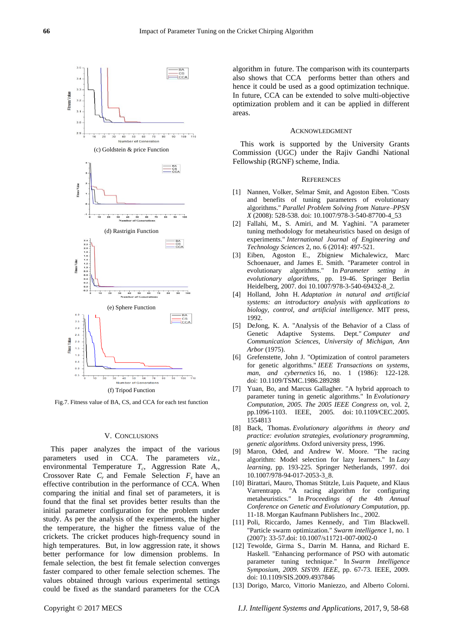

Fig.7. Fitness value of BA, CS, and CCA for each test function

## V. CONCLUSIONS

This paper analyzes the impact of the various parameters used in CCA. The parameters *viz.,* environmental Temperature *T<sub>c</sub>*, Aggression Rate *A<sub>r</sub>*, Crossover Rate *C<sup>r</sup>* and Female Selection *F<sup>s</sup>* have an effective contribution in the performance of CCA. When comparing the initial and final set of parameters, it is found that the final set provides better results than the initial parameter configuration for the problem under study. As per the analysis of the experiments, the higher the temperature, the higher the fitness value of the crickets. The cricket produces high-frequency sound in high temperatures. But, in low aggression rate, it shows better performance for low dimension problems. In female selection, the best fit female selection converges faster compared to other female selection schemes. The values obtained through various experimental settings could be fixed as the standard parameters for the CCA

algorithm in future. The comparison with its counterparts also shows that CCA performs better than others and hence it could be used as a good optimization technique. In future, CCA can be extended to solve multi-objective optimization problem and it can be applied in different areas.

#### ACKNOWLEDGMENT

This work is supported by the University Grants Commission (UGC) under the Rajiv Gandhi National Fellowship (RGNF) scheme, India.

#### **REFERENCES**

- [1] Nannen, Volker, Selmar Smit, and Agoston Eiben. "Costs and benefits of tuning parameters of evolutionary algorithms." *Parallel Problem Solving from Nature–PPSN X* (2008): 528-538. doi: 10.1007/978-3-540-87700-4\_53
- [2] Fallahi, M., S. Amiri, and M. Yaghini. "A parameter tuning methodology for metaheuristics based on design of experiments." *International Journal of Engineering and Technology Sciences* 2, no. 6 (2014): 497-521.
- [3] Eiben, Agoston E., Zbigniew Michalewicz, Marc Schoenauer, and James E. Smith. "Parameter control in evolutionary algorithms." In *Parameter setting in evolutionary algorithms*, pp. 19-46. Springer Berlin Heidelberg, 2007. doi 10.1007/978-3-540-69432-8\_2.
- [4] Holland, John H. *Adaptation in natural and artificial systems: an introductory analysis with applications to biology, control, and artificial intelligence*. MIT press, 1992.
- [5] DeJong, K. A. "Analysis of the Behavior of a Class of Genetic Adaptive Systems. Dept." *Computer and Communication Sciences, University of Michigan, Ann Arbor* (1975).
- [6] Grefenstette, John J. "Optimization of control parameters for genetic algorithms." *IEEE Transactions on systems, man, and cybernetics* 16, no. 1 (1986): 122-128. doi: 10.1109/TSMC.1986.289288
- [7] Yuan, Bo, and Marcus Gallagher. "A hybrid approach to parameter tuning in genetic algorithms." In *Evolutionary Computation, 2005. The 2005 IEEE Congress on*, vol. 2, pp.1096-1103. IEEE, 2005. doi: 10.1109/CEC.2005. 1554813
- [8] Back, Thomas. *Evolutionary algorithms in theory and practice: evolution strategies, evolutionary programming, genetic algorithms*. Oxford university press, 1996.
- [9] Maron, Oded, and Andrew W. Moore. "The racing algorithm: Model selection for lazy learners." In *Lazy learning*, pp. 193-225. Springer Netherlands, 1997. doi 10.1007/978-94-017-2053-3\_8.
- [10] Birattari, Mauro, Thomas Stützle, Luis Paquete, and Klaus Varrentrapp. "A racing algorithm for configuring metaheuristics." In *Proceedings of the 4th Annual Conference on Genetic and Evolutionary Computation*, pp. 11-18. Morgan Kaufmann Publishers Inc., 2002.
- [11] Poli, Riccardo, James Kennedy, and Tim Blackwell. "Particle swarm optimization." *Swarm intelligence* 1, no. 1 (2007): 33-57.doi: 10.1007/s11721-007-0002-0
- [12] Tewolde, Girma S., Darrin M. Hanna, and Richard E. Haskell. "Enhancing performance of PSO with automatic parameter tuning technique." In *Swarm Intelligence Symposium, 2009. SIS'09. IEEE*, pp. 67-73. IEEE, 2009. doi: 10.1109/SIS.2009.4937846
- [13] Dorigo, Marco, Vittorio Maniezzo, and Alberto Colorni.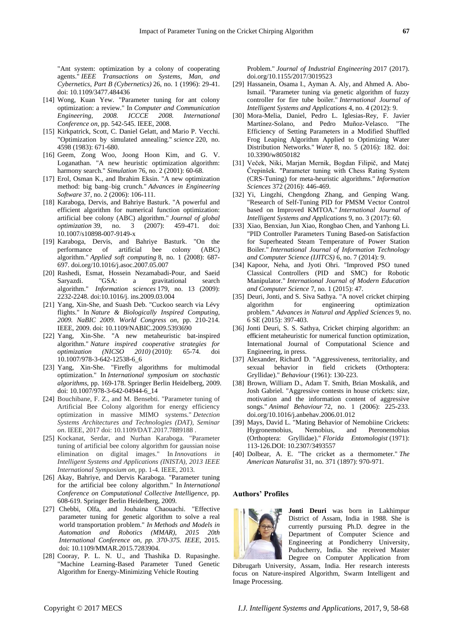"Ant system: optimization by a colony of cooperating agents." *IEEE Transactions on Systems, Man, and Cybernetics, Part B (Cybernetics)* 26, no. 1 (1996): 29-41. doi: 10.1109/3477.484436

- [14] Wong, Kuan Yew. "Parameter tuning for ant colony optimization: a review." In *Computer and Communication Engineering, 2008. ICCCE 2008. International Conference on*, pp. 542-545. IEEE, 2008.
- [15] Kirkpatrick, Scott, C. Daniel Gelatt, and Mario P. Vecchi. "Optimization by simulated annealing." *science* 220, no. 4598 (1983): 671-680.
- [16] Geem, Zong Woo, Joong Hoon Kim, and G. V. Loganathan. "A new heuristic optimization algorithm: harmony search." *Simulation* 76, no. 2 (2001): 60-68.
- [17] Erol, Osman K., and Ibrahim Eksin. "A new optimization method: big bang–big crunch." *Advances in Engineering Software* 37, no. 2 (2006): 106-111.
- [18] Karaboga, Dervis, and Bahriye Basturk. "A powerful and efficient algorithm for numerical function optimization: artificial bee colony (ABC) algorithm." *Journal of global optimization* 39, no. 3 (2007): 459-471. doi: 10.1007/s10898-007-9149-x
- [19] Karaboga, Dervis, and Bahriye Basturk. "On the performance of artificial bee colony (ABC) algorithm." *Applied soft computing* 8, no. 1 (2008): 687- 697. doi.org/10.1016/j.asoc.2007.05.007
- [20] Rashedi, Esmat, Hossein Nezamabadi-Pour, and Saeid Saryazdi. "GSA: a gravitational search algorithm." *Information sciences* 179, no. 13 (2009): 2232-2248. doi:10.1016/j. ins.2009.03.004
- [21] Yang, Xin-She, and Suash Deb. "Cuckoo search via Lévy flights." In *Nature & Biologically Inspired Computing, 2009. NaBIC 2009. World Congress on*, pp. 210-214. IEEE, 2009. doi: 10.1109/NABIC.2009.5393690
- [22] Yang, Xin-She. "A new metaheuristic bat-inspired algorithm." *Nature inspired cooperative strategies for optimization (NICSO 2010)* (2010): 65-74. doi 10.1007/978-3-642-12538-6\_6
- [23] Yang, Xin-She. "Firefly algorithms for multimodal optimization." In *International symposium on stochastic algorithms*, pp. 169-178. Springer Berlin Heidelberg, 2009. doi: 10.1007/978-3-642-04944-6\_14
- [24] Bouchibane, F. Z., and M. Bensebti. "Parameter tuning of Artificial Bee Colony algorithm for energy efficiency optimization in massive MIMO systems." *Detection Systems Architectures and Technologies (DAT), Seminar on*. IEEE, 2017 doi: 10.1109/DAT.2017.7889188 .
- [25] Kockanat, Serdar, and Nurhan Karaboga. "Parameter tuning of artificial bee colony algorithm for gaussian noise elimination on digital images." In *Innovations in Intelligent Systems and Applications (INISTA), 2013 IEEE International Symposium on*, pp. 1-4. IEEE, 2013.
- [26] Akay, Bahriye, and Dervis Karaboga. "Parameter tuning for the artificial bee colony algorithm." In *International Conference on Computational Collective Intelligence*, pp. 608-619. Springer Berlin Heidelberg, 2009.
- [27] Chebbi, Olfa, and Jouhaina Chaouachi. "Effective parameter tuning for genetic algorithm to solve a real world transportation problem." *In Methods and Models in Automation and Robotics (MMAR), 2015 20th International Conference on, pp. 370-375. IEEE*, 2015. doi: 10.1109/MMAR.2015.7283904.
- [28] Cooray, P. L. N. U., and Thashika D. Rupasinghe. "Machine Learning-Based Parameter Tuned Genetic Algorithm for Energy-Minimizing Vehicle Routing

Problem." *Journal of Industrial Engineering* 2017 (2017). doi.org/10.1155/2017/3019523

- [29] Hassanein, Osama I., Ayman A. Aly, and Ahmed A. Abo-Ismail. "Parameter tuning via genetic algorithm of fuzzy controller for fire tube boiler." *International Journal of Intelligent Systems and Applications* 4, no. 4 (2012): 9.
- [30] Mora-Melia, Daniel, Pedro L. Iglesias-Rey, F. Javier Mart *fiez-Solano*, and Pedro Muñoz-Velasco. "The Efficiency of Setting Parameters in a Modified Shuffled Frog Leaping Algorithm Applied to Optimizing Water Distribution Networks." *Water* 8, no. 5 (2016): 182. doi: 10.3390/w8050182
- [31] Veček, Niki, Marjan Mernik, Bogdan Filipič, and Matej Črepinšek. "Parameter tuning with Chess Rating System (CRS-Tuning) for meta-heuristic algorithms." *Information Sciences* 372 (2016): 446-469.
- [32] Yi, Lingzhi, Chengdong Zhang, and Genping Wang. "Research of Self-Tuning PID for PMSM Vector Control based on Improved KMTOA." *International Journal of Intelligent Systems and Applications* 9, no. 3 (2017): 60.
- [33] Xiao, Benxian, Jun Xiao, Rongbao Chen, and Yanhong Li. "PID Controller Parameters Tuning Based-on Satisfaction for Superheated Steam Temperature of Power Station Boiler." *International Journal of Information Technology and Computer Science (IJITCS)* 6, no. 7 (2014): 9.
- [34] Kapoor, Neha, and Jyoti Ohri. "Improved PSO tuned Classical Controllers (PID and SMC) for Robotic Manipulator." *International Journal of Modern Education and Computer Science* 7, no. 1 (2015): 47.
- [35] Deuri, Jonti, and S. Siva Sathya. "A novel cricket chirping algorithm for engineering optimization problem." *Advances in Natural and Applied Sciences* 9, no. 6 SE (2015): 397-403.
- [36] Jonti Deuri, S. S. Sathya, Cricket chirping algorithm: an efficient metaheuristic for numerical function optimization, International Journal of Computational Science and Engineering, in press.
- [37] Alexander, Richard D. "Aggressiveness, territoriality, and sexual behavior in field crickets (Orthoptera: Gryllidae)." *Behaviour* (1961): 130-223.
- [38] Brown, William D., Adam T. Smith, Brian Moskalik, and Josh Gabriel. "Aggressive contests in house crickets: size, motivation and the information content of aggressive songs." *Animal Behaviour* 72, no. 1 (2006): 225-233. doi.org/10.1016/j.anbehav.2006.01.012
- [39] Mays, David L. "Mating Behavior of Nemobiine Crickets: Hygronemobius, Nemobius, and Pteronemobius (Orthoptera: Gryllidae)." *Florida Entomologist* (1971): 113-126.DOI: 10.2307/3493557
- [40] Dolbear, A. E. "The cricket as a thermometer." *The American Naturalist* 31, no. 371 (1897): 970-971.

#### **Authors' Profiles**



**Jonti Deuri** was born in Lakhimpur District of Assam, India in 1988. She is currently pursuing Ph.D. degree in the Department of Computer Science and Engineering at Pondicherry University, Puducherry, India. She received Master Degree on Computer Application from

Dibrugarh University, Assam, India. Her research interests focus on Nature-inspired Algorithm, Swarm Intelligent and Image Processing.